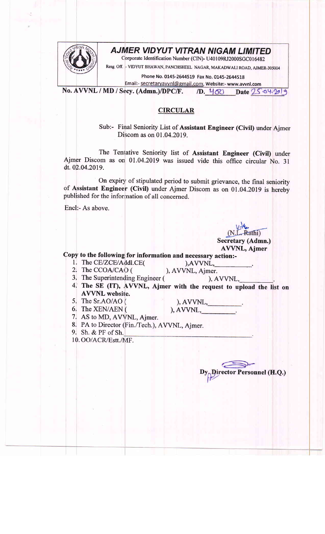

## AJMER VIDYUT VITRAN NIGAM LIMITED

Corporate Identification Number (CIN)- U40109RJ2000SGC016482

Resg off. - VIDYUT BHAWAN, PANCHSHEEL NAGAR, MAKADWALI ROAD, AJMER-305004

Phone No. 0145-2644519 Fax No. 0145-2644518

Email:- secretaryavvnl@gmail.com, Website:- www.avvnl.com

No. AVVNL / MD / Secy. (Admn.)/DPC/F. /D. 460 Date 25.04.2019

## CIRCULAR

Sub:- Final Seniority List of Assistant Engineer (Civil) under Ajmer Discom as on 01.04.2019.

The Tentative Seniority list of Assistant Engineer (Civil) under Ajmer Discom as on 01.04.2019 was issued vide this office circular No. 3l dt. 02.04.2019.

On expiry of stipulated period to submit grievance, the final seniority of Assistant Engineer (Civil) under Ajmer Discom as on 01.04.2019 is hereby published for the infonnation of all concerned.

Encl:- As above.

Secretary (Admn.) AVVNL, Ajmer

Copy to the following for information and necessary action:-<br>1. The CE/ZCE/Addl.CE( ),AVVNL,<br>2. The CCOA/CAO ( ), AVVNL, Ajmer.

- 
- 2. The CCOA/CAO (

- 3. The Superintending Engineer ( ), AVVNL,
- 4. The SE (IT), AVVNL, Ajmer with the request to upload the list on AVVNL website.
- 5, The Sr.AO/AO (
- 6i The XEN/AEN (

 $), AVVNL,$  $(AVVNL,$ 

- 7. AS to MD, AVVNL, Ajmer.
- 8. PA to Director (Fin./Tech.), AVVNL, Ajmer.
- 9. Sh. & PF of Sh.

10. OO/ACR/Estt./MF.

rector Personnel (H.Q.)